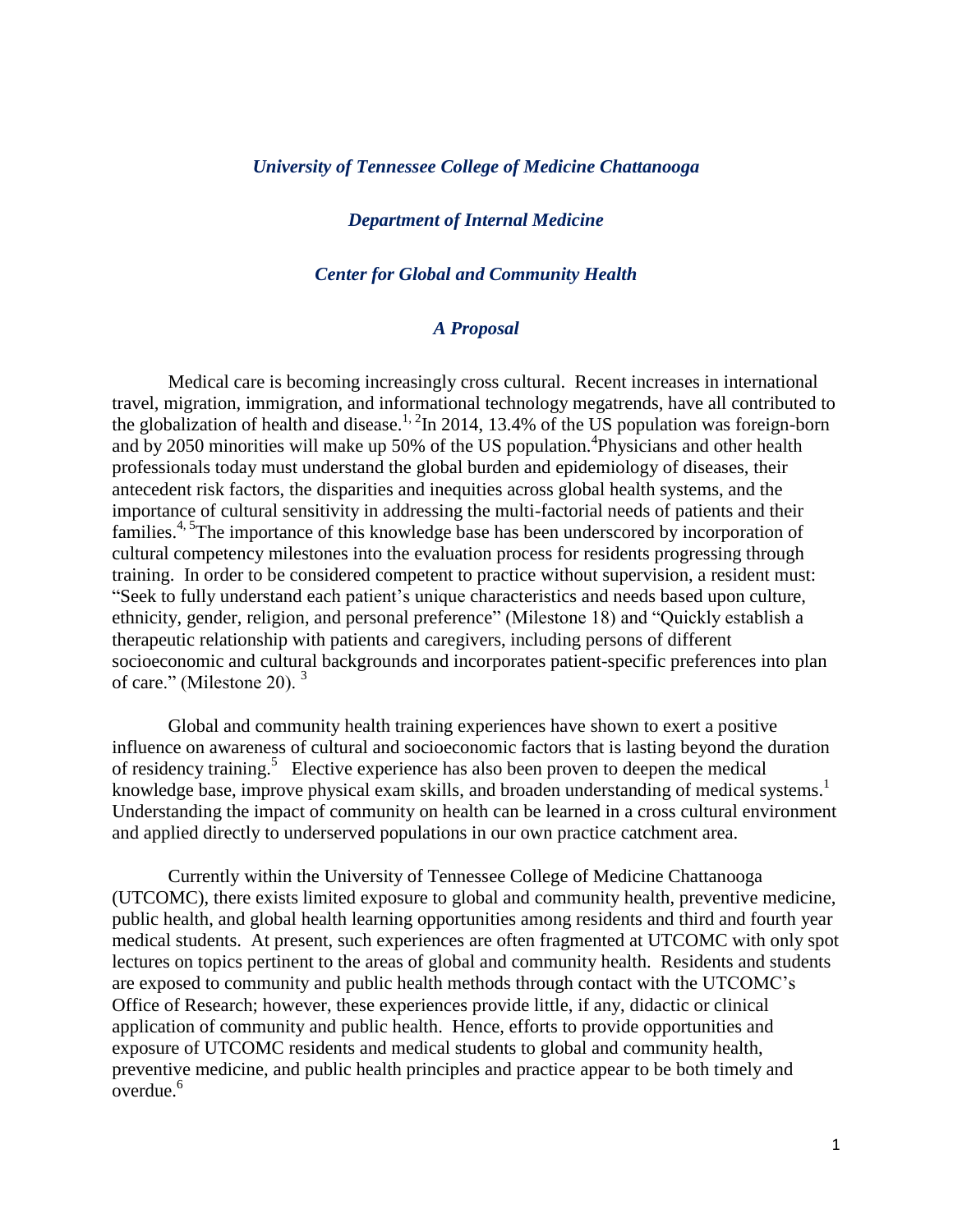### *University of Tennessee College of Medicine Chattanooga*

### *Department of Internal Medicine*

### *Center for Global and Community Health*

### *A Proposal*

Medical care is becoming increasingly cross cultural. Recent increases in international travel, migration, immigration, and informational technology megatrends, have all contributed to the globalization of health and disease.<sup>1, 2</sup>In 2014, 13.4% of the US population was foreign-born and by 2050 minorities will make up 50% of the US population.<sup>4</sup>Physicians and other health professionals today must understand the global burden and epidemiology of diseases, their antecedent risk factors, the disparities and inequities across global health systems, and the importance of cultural sensitivity in addressing the multi-factorial needs of patients and their families.<sup>4, 5</sup>The importance of this knowledge base has been underscored by incorporation of cultural competency milestones into the evaluation process for residents progressing through training. In order to be considered competent to practice without supervision, a resident must: "Seek to fully understand each patient's unique characteristics and needs based upon culture, ethnicity, gender, religion, and personal preference" (Milestone 18) and "Quickly establish a therapeutic relationship with patients and caregivers, including persons of different socioeconomic and cultural backgrounds and incorporates patient-specific preferences into plan of care." (Milestone 20). <sup>3</sup>

Global and community health training experiences have shown to exert a positive influence on awareness of cultural and socioeconomic factors that is lasting beyond the duration of residency training.<sup>5</sup> Elective experience has also been proven to deepen the medical knowledge base, improve physical exam skills, and broaden understanding of medical systems.<sup>1</sup> Understanding the impact of community on health can be learned in a cross cultural environment and applied directly to underserved populations in our own practice catchment area.

Currently within the University of Tennessee College of Medicine Chattanooga (UTCOMC), there exists limited exposure to global and community health, preventive medicine, public health, and global health learning opportunities among residents and third and fourth year medical students. At present, such experiences are often fragmented at UTCOMC with only spot lectures on topics pertinent to the areas of global and community health. Residents and students are exposed to community and public health methods through contact with the UTCOMC's Office of Research; however, these experiences provide little, if any, didactic or clinical application of community and public health. Hence, efforts to provide opportunities and exposure of UTCOMC residents and medical students to global and community health, preventive medicine, and public health principles and practice appear to be both timely and  $overd{line}$ <sup>6</sup>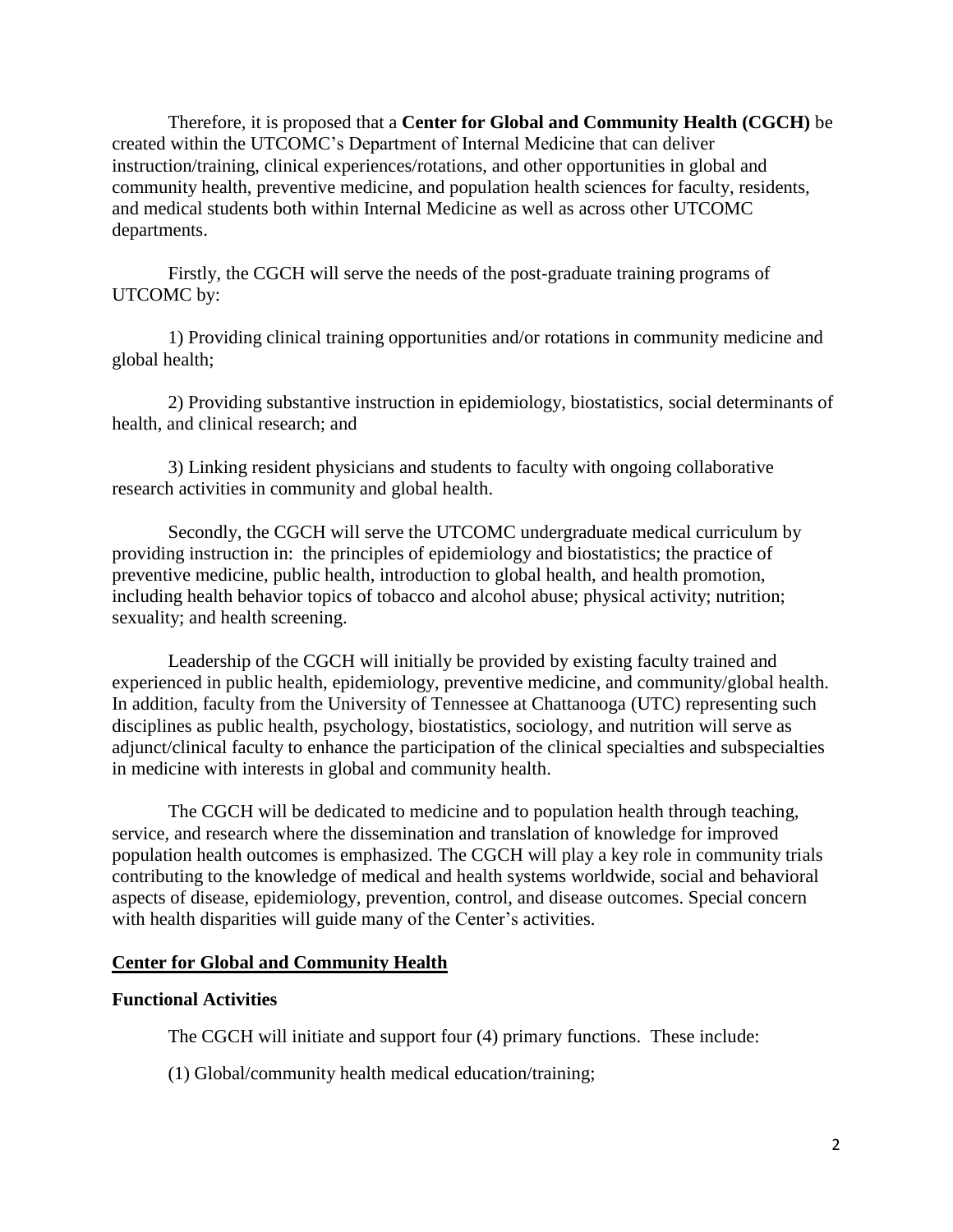Therefore, it is proposed that a **Center for Global and Community Health (CGCH)** be created within the UTCOMC's Department of Internal Medicine that can deliver instruction/training, clinical experiences/rotations, and other opportunities in global and community health, preventive medicine, and population health sciences for faculty, residents, and medical students both within Internal Medicine as well as across other UTCOMC departments.

Firstly, the CGCH will serve the needs of the post-graduate training programs of UTCOMC by:

1) Providing clinical training opportunities and/or rotations in community medicine and global health;

2) Providing substantive instruction in epidemiology, biostatistics, social determinants of health, and clinical research; and

3) Linking resident physicians and students to faculty with ongoing collaborative research activities in community and global health.

Secondly, the CGCH will serve the UTCOMC undergraduate medical curriculum by providing instruction in: the principles of epidemiology and biostatistics; the practice of preventive medicine, public health, introduction to global health, and health promotion, including health behavior topics of tobacco and alcohol abuse; physical activity; nutrition; sexuality; and health screening.

Leadership of the CGCH will initially be provided by existing faculty trained and experienced in public health, epidemiology, preventive medicine, and community/global health. In addition, faculty from the University of Tennessee at Chattanooga (UTC) representing such disciplines as public health, psychology, biostatistics, sociology, and nutrition will serve as adjunct/clinical faculty to enhance the participation of the clinical specialties and subspecialties in medicine with interests in global and community health.

The CGCH will be dedicated to medicine and to population health through teaching, service, and research where the dissemination and translation of knowledge for improved population health outcomes is emphasized. The CGCH will play a key role in community trials contributing to the knowledge of medical and health systems worldwide, social and behavioral aspects of disease, epidemiology, prevention, control, and disease outcomes. Special concern with health disparities will guide many of the Center's activities.

## **Center for Global and Community Health**

# **Functional Activities**

The CGCH will initiate and support four (4) primary functions. These include:

(1) Global/community health medical education/training;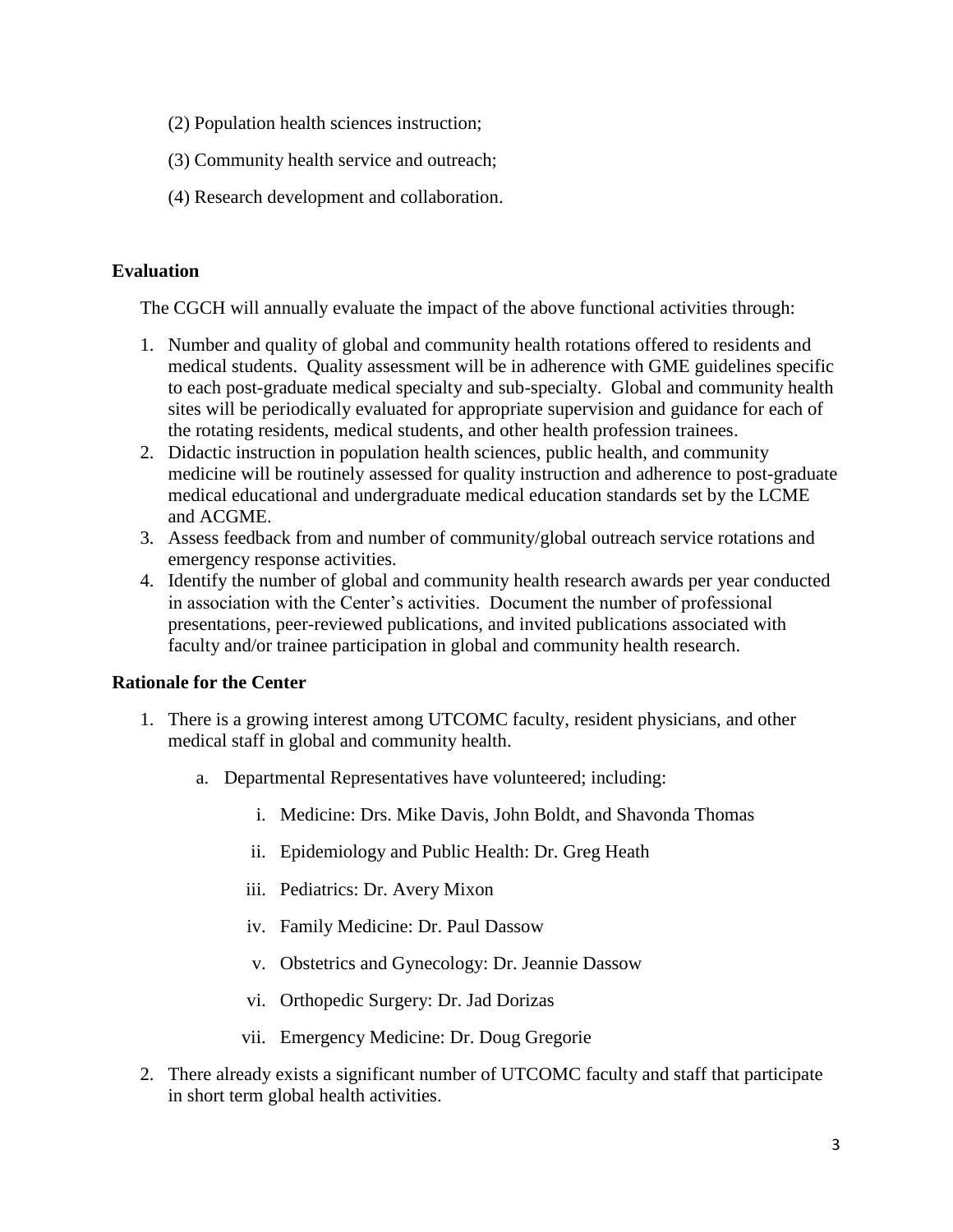- (2) Population health sciences instruction;
- (3) Community health service and outreach;
- (4) Research development and collaboration.

## **Evaluation**

The CGCH will annually evaluate the impact of the above functional activities through:

- 1. Number and quality of global and community health rotations offered to residents and medical students. Quality assessment will be in adherence with GME guidelines specific to each post-graduate medical specialty and sub-specialty. Global and community health sites will be periodically evaluated for appropriate supervision and guidance for each of the rotating residents, medical students, and other health profession trainees.
- 2. Didactic instruction in population health sciences, public health, and community medicine will be routinely assessed for quality instruction and adherence to post-graduate medical educational and undergraduate medical education standards set by the LCME and ACGME.
- 3. Assess feedback from and number of community/global outreach service rotations and emergency response activities.
- 4. Identify the number of global and community health research awards per year conducted in association with the Center's activities. Document the number of professional presentations, peer-reviewed publications, and invited publications associated with faculty and/or trainee participation in global and community health research.

# **Rationale for the Center**

- 1. There is a growing interest among UTCOMC faculty, resident physicians, and other medical staff in global and community health.
	- a. Departmental Representatives have volunteered; including:
		- i. Medicine: Drs. Mike Davis, John Boldt, and Shavonda Thomas
		- ii. Epidemiology and Public Health: Dr. Greg Heath
		- iii. Pediatrics: Dr. Avery Mixon
		- iv. Family Medicine: Dr. Paul Dassow
		- v. Obstetrics and Gynecology: Dr. Jeannie Dassow
		- vi. Orthopedic Surgery: Dr. Jad Dorizas
		- vii. Emergency Medicine: Dr. Doug Gregorie
- 2. There already exists a significant number of UTCOMC faculty and staff that participate in short term global health activities.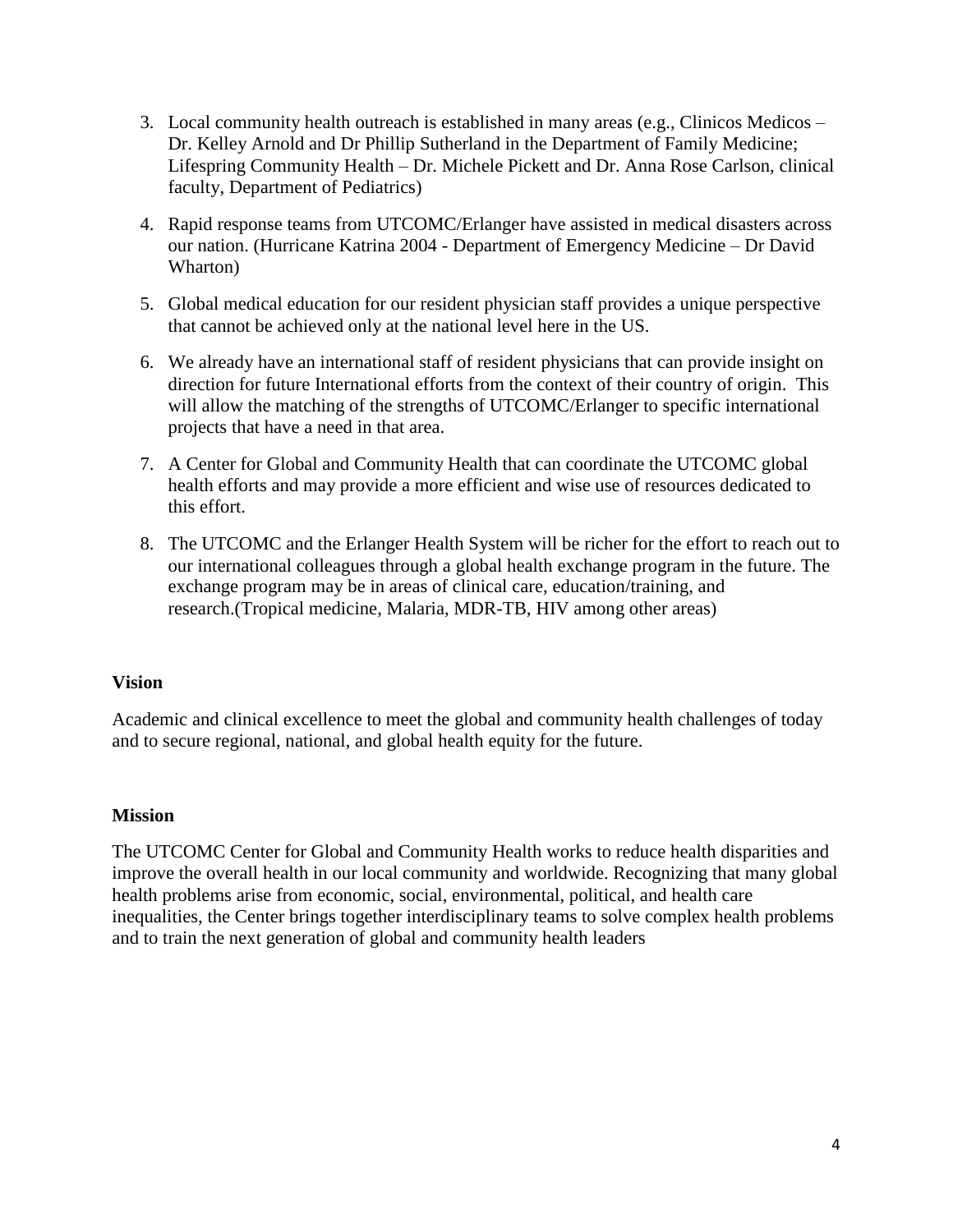- 3. Local community health outreach is established in many areas (e.g., Clinicos Medicos Dr. Kelley Arnold and Dr Phillip Sutherland in the Department of Family Medicine; Lifespring Community Health – Dr. Michele Pickett and Dr. Anna Rose Carlson, clinical faculty, Department of Pediatrics)
- 4. Rapid response teams from UTCOMC/Erlanger have assisted in medical disasters across our nation. (Hurricane Katrina 2004 - Department of Emergency Medicine – Dr David Wharton)
- 5. Global medical education for our resident physician staff provides a unique perspective that cannot be achieved only at the national level here in the US.
- 6. We already have an international staff of resident physicians that can provide insight on direction for future International efforts from the context of their country of origin. This will allow the matching of the strengths of UTCOMC/Erlanger to specific international projects that have a need in that area.
- 7. A Center for Global and Community Health that can coordinate the UTCOMC global health efforts and may provide a more efficient and wise use of resources dedicated to this effort.
- 8. The UTCOMC and the Erlanger Health System will be richer for the effort to reach out to our international colleagues through a global health exchange program in the future. The exchange program may be in areas of clinical care, education/training, and research.(Tropical medicine, Malaria, MDR-TB, HIV among other areas)

# **Vision**

Academic and clinical excellence to meet the global and community health challenges of today and to secure regional, national, and global health equity for the future.

## **Mission**

The UTCOMC Center for Global and Community Health works to reduce health disparities and improve the overall health in our local community and worldwide. Recognizing that many global health problems arise from economic, social, environmental, political, and health care inequalities, the Center brings together interdisciplinary teams to solve complex health problems and to train the next generation of global and community health leaders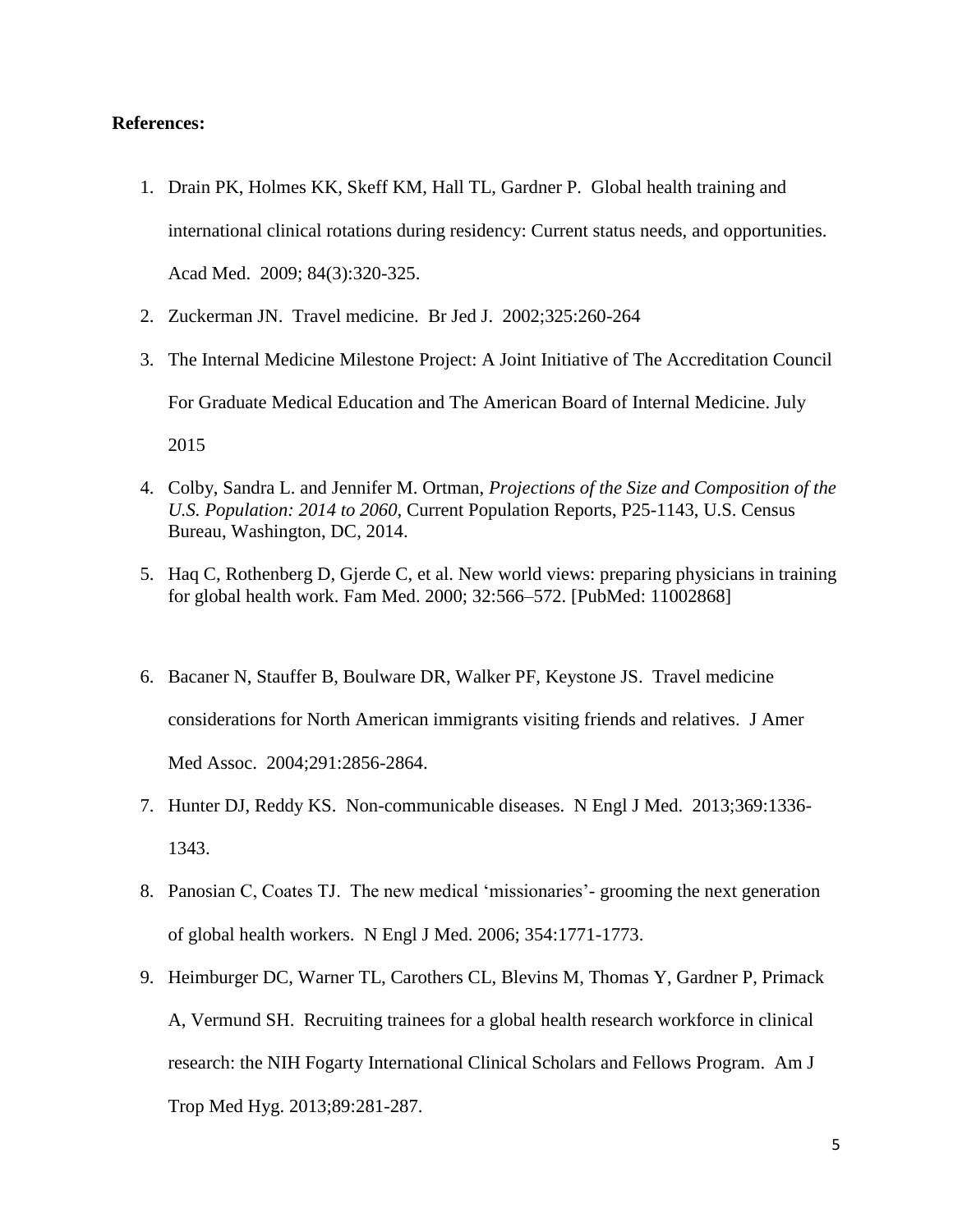### **References:**

- 1. Drain PK, Holmes KK, Skeff KM, Hall TL, Gardner P. Global health training and international clinical rotations during residency: Current status needs, and opportunities. Acad Med. 2009; 84(3):320-325.
- 2. Zuckerman JN. Travel medicine. Br Jed J. 2002;325:260-264
- 3. The Internal Medicine Milestone Project: A Joint Initiative of The Accreditation Council For Graduate Medical Education and The American Board of Internal Medicine. July 2015
- 4. Colby, Sandra L. and Jennifer M. Ortman, *Projections of the Size and Composition of the U.S. Population: 2014 to 2060*, Current Population Reports, P25-1143, U.S. Census Bureau, Washington, DC, 2014.
- 5. Haq C, Rothenberg D, Gjerde C, et al. New world views: preparing physicians in training for global health work. Fam Med. 2000; 32:566–572. [PubMed: 11002868]
- 6. Bacaner N, Stauffer B, Boulware DR, Walker PF, Keystone JS. Travel medicine considerations for North American immigrants visiting friends and relatives. J Amer Med Assoc. 2004;291:2856-2864.
- 7. Hunter DJ, Reddy KS. Non-communicable diseases. N Engl J Med. 2013;369:1336- 1343.
- 8. Panosian C, Coates TJ. The new medical 'missionaries'- grooming the next generation of global health workers. N Engl J Med. 2006; 354:1771-1773.
- 9. Heimburger DC, Warner TL, Carothers CL, Blevins M, Thomas Y, Gardner P, Primack A, Vermund SH. Recruiting trainees for a global health research workforce in clinical research: the NIH Fogarty International Clinical Scholars and Fellows Program. Am J Trop Med Hyg. 2013;89:281-287.